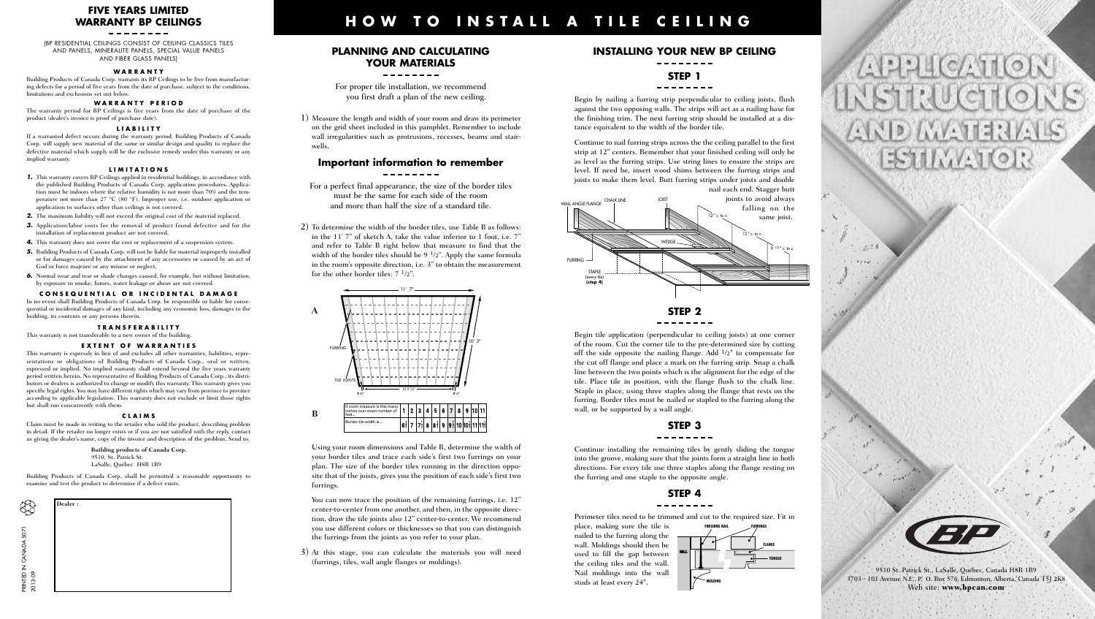## **FIVE YEARS LIMITED WARRANTY BP CEILINGS**

(BP RESIDENTIAL CEILINGS CONSIST OF CEILING CLASSICS TILES AND PANELS, MINERALITE PANELS, SPECIAL VALUE PANELS AND FIBER GLASS PANELS)

#### **W A R R A N T Y**

Building Products of Canada Corp. warrants its BP Ceilings to be free from manufacturing defects for a period of five years from the date of purchase, subject to the conditions, limitations and exclusions set out below.

#### **W A R R A N T Y P E R I O D**

The warranty period for BP Ceilings is five years from the date of purchase of the product (dealer's invoice is proof of purchase date).

#### **L I A B I L I T Y**

If a warranted defect occurs during the warranty period, Building Products of Canada Corp. will supply new material of the same or similar design and quality to replace the defective material which supply will be the exclusive remedy under this warranty or any implied warranty.

#### **L I M I T A T I O N S**

- *1.* This warranty covers BP Ceilings applied in residential buildings, in accordance with the published Building Products of Canada Corp. application procedures. Application must be indoors where the relative humidity is not more than 70% and the temperature not more than 27 °C (80 °F). Improper use, i.e. outdoor application or application to surfaces other than ceilings is not covered.
- *2.* The maximum liability will not exceed the original cost of the material replaced.
- *3.* Application/labor costs for the removal of product found defective and for the installation of replacement product are not covered.
- *4.* This warranty does not cover the cost or replacement of a suspension system.
- *5.* Building Products of Canada Corp. will not be liable for material improperly installed or for damages caused by the attachment of any accessories or caused by an act of God or force majeure or any misuse or neglect.
- *6.* Normal wear and tear or shade changes caused, for example, but without limitation, by exposure to smoke, fumes, water leakage or abuse are not covered.

#### CONSEQUENTIAL OR INCIDENTAL DAMAGE

In no event shall Building Products of Canada Corp. be responsible or liable for consequential or incidental damages of any kind, including any economic loss, damages to the building, its contents or any persons therein.

#### **T R A N S F E R A B I L I T Y**

This warranty is not transferable to a new owner of the building.

#### **EXTENT OF WARRANTIES**

This warranty is expressly in lieu of and excludes all other warranties, liabilities, representations or obligations of Building Products of Canada Corp., oral or written, expressed or implied. No implied warranty shall extend beyond the five years warranty period written herein. No representative of Building Products of Canada Corp., its distributors or dealers is authorized to change or modify this warranty. This warranty gives you specific legal rights. You may have different rights which may vary from province to province according to applicable legislation. This warranty does not exclude or limit those rights but shall run concurrently with them.

#### **C L A I M S**

Claim must be made in writing to the retailer who sold the product, describing problem in detail. If the retailer no longer exists or if you are not satisfied with the reply, contact us giving the dealer's name, copy of the invoice and description of the problem. Send to:

> **Building products of Canada Corp.** 9510, St. Patrick St. LaSalle, Québec H8R 1R9

Building Products of Canada Corp. shall be permitted a reasonable opportunity to examine and test the product to determine if a defect exists.



### **PLANNING AND CALCULATING YOUR MATERIALS**

**H O W T O I N S T A L L A T I L E C E I L I N G**

For proper tile installation, we recommend you first draft a plan of the new ceiling.

1) Measure the length and width of your room and draw its perimeter on the grid sheet included in this pamphlet. Remember to include wall irregularities such as protrusions, recesses, beams and stairwells.

## **Important information to remember**

For a perfect final appearance, the size of the border tiles must be the same for each side of the room and more than half the size of a standard tile.

2) To determine the width of the border tiles, use Table B as follows: in the 11' 7" of sketch A, take the value inferior to 1 foot, i.e. 7" and refer to Table B right below that measure to find that the width of the border tiles should be 9 1/2". Apply the same formula in the room's opposite direction, i.e. 3" to obtain the measurement for the other border tiles:  $7 \frac{1}{2}$ ".



Using your room dimensions and Table B, determine the width of your border tiles and trace each side's first two furrings on your plan. The size of the border tiles running in the direction opposite that of the joists, gives you the position of each side's first two furrings.

You can now trace the position of the remaining furrings, i.e. 12" center-to-center from one another, and then, in the opposite direction, draw the tile joints also 12" center-to-center. We recommend you use different colors or thicknesses so that you can distinguish the furrings from the joints as you refer to your plan.

3) At this stage, you can calculate the materials you will need (furrings, tiles, wall angle flanges or moldings).

# **INSTALLING YOUR NEW BP CEILING**

## **STEP 1**

#### --------

Begin by nailing a furring strip perpendicular to ceiling joists, flush against the two opposing walls. The strips will act as a nailing base for the finishing trim. The next furring strip should be installed at a distance equivalent to the width of the border tile.

Continue to nail furring strips across the the ceiling parallel to the first strip at 12" centers. Remember that your finished ceiling will only be as level as the furring strips. Use string lines to ensure the strips are level. If need be, insert wood shims between the furring strips and joists to make them level. Butt furring strips under joists and double nail each end. Stagger butt



Begin tile application (perpendicular to ceiling joists) at one corner of the room. Cut the corner tile to the pre-determined size by cutting off the side opposite the nailing flange. Add  $1/2$ " to compensate for the cut off flange and place a mark on the furring strip. Snap a chalk line between the two points which is the alignment for the edge of the tile. Place tile in position, with the flange flush to the chalk line. Staple in place, using three staples along the flange that rests on the furring. Border tiles must be nailed or stapled to the furring along the wall, or be supported by a wall angle.

## **STEP 3**

#### --------

Continue installing the remaining tiles by gently sliding the tongue into the groove, making sure that the joints form a straight line in both directions. For every tile use three staples along the flange resting on the furring and one staple to the opposite angle.

## **STEP 4**

Perimeter tiles need to be trimmed and cut to the required size. Fit in place, making sure the tile is **FINISHING NAIL FURRINGS**

**WALL**

**MOLDING**

**FLANGE TONGUE**

nailed to the furring along the wall. Moldings should then be used to fill the gap between the ceiling tiles and the wall. Nail moldings into the wall studs at least every 24".





9510 St. Patrick St., LaSalle, Québec, Canada H8R 1R9 3703 – 101 Avenue N.E., P. O. Box 576, Edmonton, Alberta, Canada T5J 2K8 Web site: **www.bpcan.com**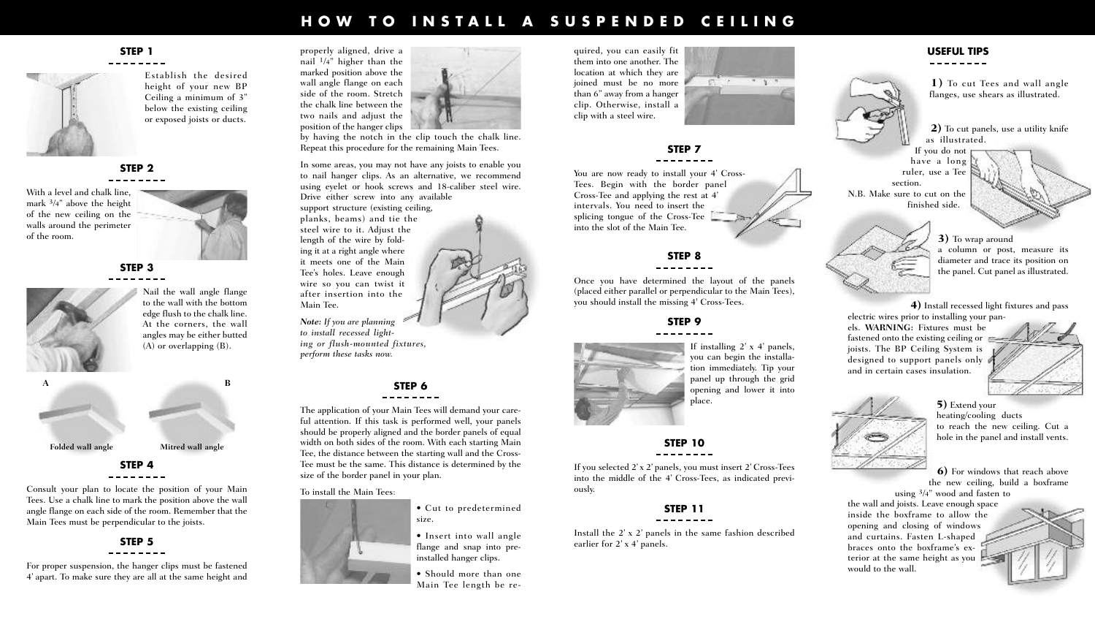# HOW TO INSTALL A SUSPENDED CEILING

## **STEP 1**



Establish the desired height of your new BP Ceiling a minimum of 3" below the existing ceiling or exposed joists or ducts.



With a level and chalk line, mark  $3/4$ " above the height of the new ceiling on the walls around the perimeter of the room.

**STEP 3**



Nail the wall angle flange to the wall with the bottom edge flush to the chalk line. At the corners, the wall angles may be either butted (A) or overlapping (B).



# **STEP 4**

Consult your plan to locate the position of your Main Tees. Use a chalk line to mark the position above the wall angle flange on each side of the room. Remember that the Main Tees must be perpendicular to the joists.



For proper suspension, the hanger clips must be fastened 4' apart. To make sure they are all at the same height and



by having the notch in the clip touch the chalk line. Repeat this procedure for the remaining Main Tees.

In some areas, you may not have any joists to enable you to nail hanger clips. As an alternative, we recommend using eyelet or hook screws and 18-caliber steel wire. Drive either screw into any available support structure (existing ceiling, planks, beams) and tie the steel wire to it. Adjust the length of the wire by folding it at a right angle where it meets one of the Main Tee's holes. Leave enough wire so you can twist it after insertion into the Main Tee. *Note: If you are planning to install recessed lighting or flush-mounted fixtures,*

## **STEP 6**

The application of your Main Tees will demand your careful attention. If this task is performed well, your panels should be properly aligned and the border panels of equal width on both sides of the room. With each starting Main Tee, the distance between the starting wall and the Cross-Tee must be the same. This distance is determined by the size of the border panel in your plan.

To install the Main Tees:

*perform these tasks now.*



• Insert into wall angle flange and snap into preinstalled hanger clips.

• Should more than one Main Tee length be required, you can easily fit them into one another. The location at which they are joined must be no more than 6" away from a hanger clip. Otherwise, install a clip with a steel wire.

## **STEP 7**

You are now ready to install your 4' Cross-Tees. Begin with the border panel Cross-Tee and applying the rest at 4' intervals. You need to insert the splicing tongue of the Cross-Tee into the slot of the Main Tee.

## **STEP 8**

Once you have determined the layout of the panels (placed either parallel or perpendicular to the Main Tees), you should install the missing 4' Cross-Tees.

## **STEP 9**



If installing  $2'$  x 4' panels, you can begin the installation immediately. Tip your panel up through the grid opening and lower it into place.

 $-1.1$ 

## **STEP 10**

If you selected 2' x 2' panels, you must insert 2' Cross-Tees into the middle of the 4' Cross-Tees, as indicated previously.

#### **STEP 11** --------

Install the 2' x 2' panels in the same fashion described earlier for 2' x 4' panels.

## **USEFUL TIPS**

**1)** To cut Tees and wall angle flanges, use shears as illustrated.

**2)** To cut panels, use a utility knife as illustrated.

If you do not have a long ruler, use a Tee section. N.B. Make sure to cut on the finished side.

> **3)** To wrap around a column or post, measure its diameter and trace its position on the panel. Cut panel as illustrated.

**4)** Install recessed light fixtures and pass

electric wires prior to installing your panels. **WARNING:** Fixtures must be fastened onto the existing ceiling or joists. The BP Ceiling System is designed to support panels only and in certain cases insulation.





**5)** Extend your heating/cooling ducts to reach the new ceiling. Cut a hole in the panel and install vents.

**6)** For windows that reach above the new ceiling, build a boxframe

using 3/4" wood and fasten to the wall and joists. Leave enough space inside the boxframe to allow the opening and closing of windows and curtains. Fasten L-shaped braces onto the boxframe's exterior at the same height as you would to the wall.

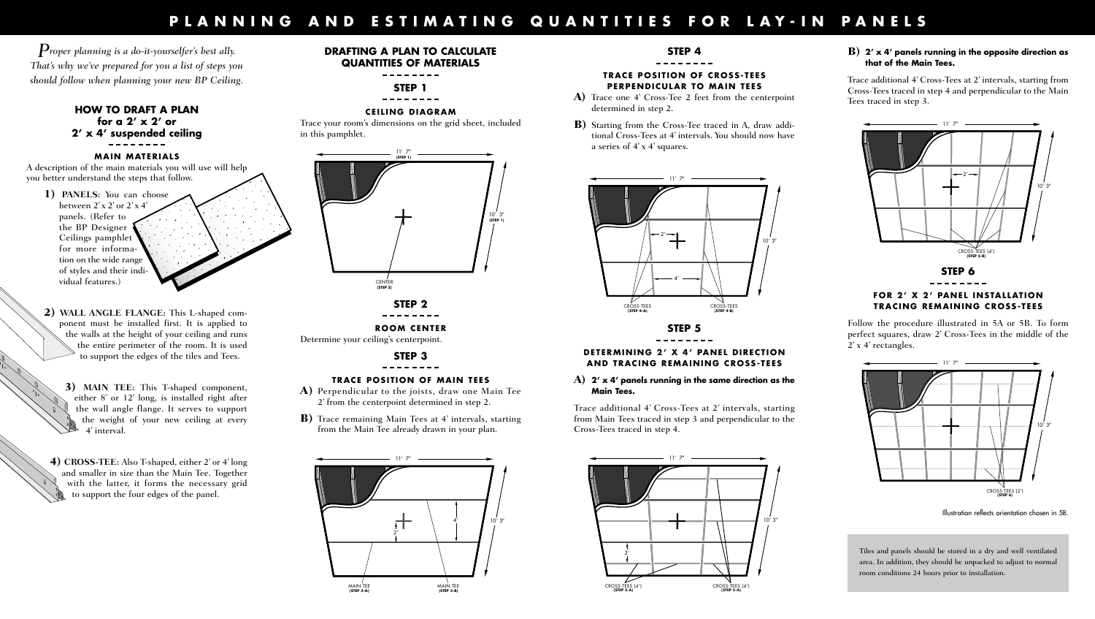# PLANNING AND ESTIMATING QUANTITIES FOR LAY-IN PANELS

*Proper planning is <sup>a</sup> do-it-yourselfer's best ally. That's why we've prepared for you a list of steps you should follow when planning your new BP Ceiling.*

## **HOW TO DRAFT A PLAN for a 2' x 2' or 2' x 4' suspended ceiling**

### **MAIN MATERIALS**

A description of the main materials you will use will help you better understand the steps that follow.

- **1) PANELS:** You can choose between  $2'$  x  $2'$  or  $2'$  x  $4'$ panels. (Refer to the BP Designer Ceilings pamphlet for more information on the wide range of styles and their individual features.)
- **2) WALL ANGLE FLANGE:** This L-shaped component must be installed first. It is applied to the walls at the height of your ceiling and runs the entire perimeter of the room. It is used to support the edges of the tiles and Tees.
	- **3) MAIN TEE:** This T-shaped component, either 8' or 12' long, is installed right after the wall angle flange. It serves to support the weight of your new ceiling at every 4' interval.

**4) CROSS-TEE:** Also T-shaped, either 2' or 4' long and smaller in size than the Main Tee. Together with the latter, it forms the necessary grid to support the four edges of the panel.

## **DRAFTING A PLAN TO CALCULATE QUANTITIES OF MATERIALS**

## **STEP 1**

--------

#### **CEI L ING DIAGRAM**

Trace your room's dimensions on the grid sheet, included in this pamphlet.



**ROOM CENTER** Determine your ceiling's centerpoint.

> **STEP 3** \_ \_ \_ \_ \_ \_ \_

### **TRACE POSI T ION OF MAIN TEES**

- **A)** Perpendicular to the joists, draw one Main Tee 2' from the centerpoint determined in step 2.
- **B)** Trace remaining Main Tees at 4' intervals, starting from the Main Tee already drawn in your plan.



## **STEP 4**

### **TRACE POSI T ION OF CROSS- TEES PERPENDICULAR TO MAIN TEES**

- **A)** Trace one 4' Cross-Tee 2 feet from the centerpoint determined in step 2.
- **B)** Starting from the Cross-Tee traced in A, draw additional Cross-Tees at 4' intervals. You should now have a series of 4' x 4' squares.



**STEP 5**

## **DETERMINING 2' X 4' PANEL DIRECT ION AND TRACING REMAINING CROSS- TEES**

#### **A) 2' x 4' panels running in the same direction as the Main Tees.**

Trace additional 4' Cross-Tees at 2' intervals, starting from Main Tees traced in step 3 and perpendicular to the Cross-Tees traced in step 4.



## **B) 2' x 4' panels running in the opposite direction as that of the Main Tees.**

Trace additional 4' Cross-Tees at 2' intervals, starting from Cross-Tees traced in step 4 and perpendicular to the Main Tees traced in step 3.



# **FOR 2' X 2' PANEL INSTAL LAT ION TRACING REMAINING CROSS- TEES**

Follow the procedure illustrated in 5A or 5B. To form perfect squares, draw 2' Cross-Tees in the middle of the 2' x 4' rectangles.



Illustration reflects orientation chosen in 5B.

Tiles and panels should be stored in a dry and well ventilated area. In addition, they should be unpacked to adjust to normal room conditions 24 hours prior to installation.